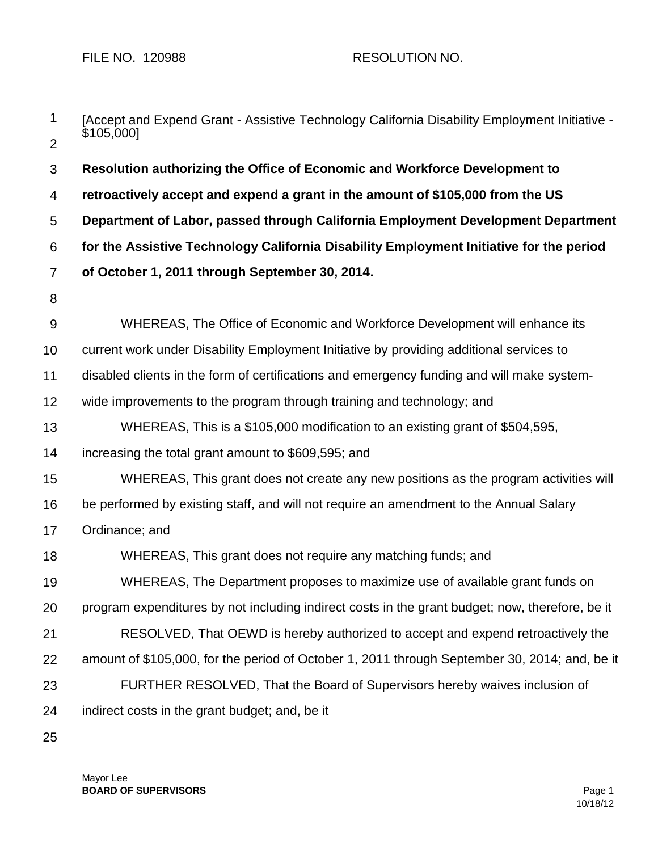| 1              | [Accept and Expend Grant - Assistive Technology California Disability Employment Initiative -<br>\$105,000] |  |  |
|----------------|-------------------------------------------------------------------------------------------------------------|--|--|
| 2              |                                                                                                             |  |  |
| 3              | Resolution authorizing the Office of Economic and Workforce Development to                                  |  |  |
| 4              | retroactively accept and expend a grant in the amount of \$105,000 from the US                              |  |  |
| 5              | Department of Labor, passed through California Employment Development Department                            |  |  |
| 6              | for the Assistive Technology California Disability Employment Initiative for the period                     |  |  |
| $\overline{7}$ | of October 1, 2011 through September 30, 2014.                                                              |  |  |
| 8              |                                                                                                             |  |  |
| $\overline{9}$ | WHEREAS, The Office of Economic and Workforce Development will enhance its                                  |  |  |
| 10             | current work under Disability Employment Initiative by providing additional services to                     |  |  |
| 11             | disabled clients in the form of certifications and emergency funding and will make system-                  |  |  |
| 12             | wide improvements to the program through training and technology; and                                       |  |  |
| 13             | WHEREAS, This is a \$105,000 modification to an existing grant of \$504,595,                                |  |  |
| 14             | increasing the total grant amount to \$609,595; and                                                         |  |  |
| 15             | WHEREAS, This grant does not create any new positions as the program activities will                        |  |  |
| 16             | be performed by existing staff, and will not require an amendment to the Annual Salary                      |  |  |
| 17             | Ordinance; and                                                                                              |  |  |
| 18             | WHEREAS, This grant does not require any matching funds; and                                                |  |  |
| 19             | WHEREAS, The Department proposes to maximize use of available grant funds on                                |  |  |
| 20             | program expenditures by not including indirect costs in the grant budget; now, therefore, be it             |  |  |
| 21             | RESOLVED, That OEWD is hereby authorized to accept and expend retroactively the                             |  |  |
| 22             | amount of \$105,000, for the period of October 1, 2011 through September 30, 2014; and, be it               |  |  |
| 23             | FURTHER RESOLVED, That the Board of Supervisors hereby waives inclusion of                                  |  |  |
| 24             | indirect costs in the grant budget; and, be it                                                              |  |  |
|                |                                                                                                             |  |  |

25